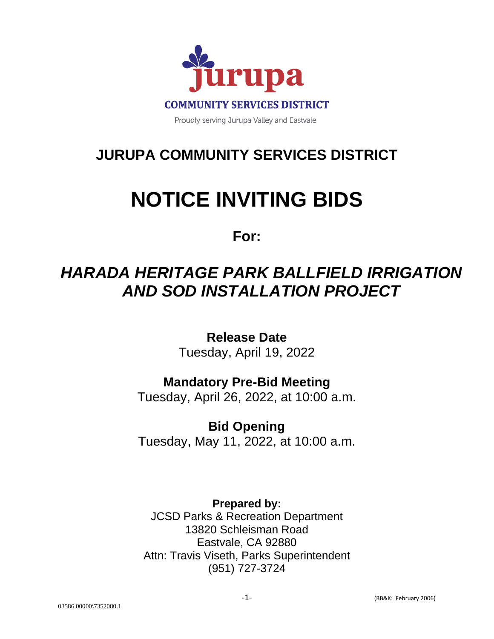

## **JURUPA COMMUNITY SERVICES DISTRICT**

# **NOTICE INVITING BIDS**

**For:**

## *HARADA HERITAGE PARK BALLFIELD IRRIGATION AND SOD INSTALLATION PROJECT*

**Release Date** Tuesday, April 19, 2022

## **Mandatory Pre-Bid Meeting**

Tuesday, April 26, 2022, at 10:00 a.m.

**Bid Opening** Tuesday, May 11, 2022, at 10:00 a.m.

**Prepared by:** JCSD Parks & Recreation Department 13820 Schleisman Road Eastvale, CA 92880 Attn: Travis Viseth, Parks Superintendent (951) 727-3724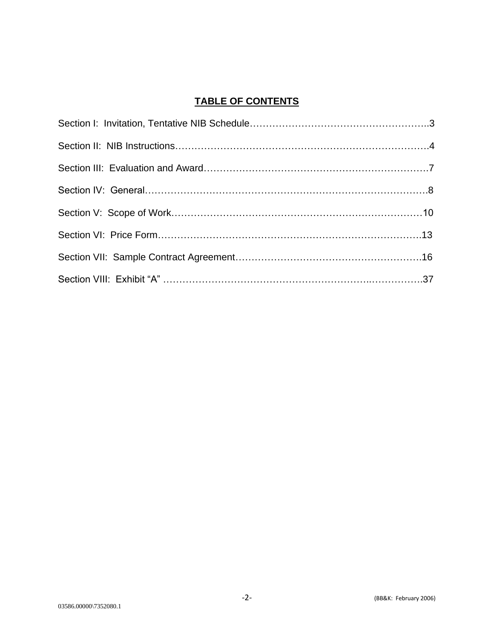#### **TABLE OF CONTENTS**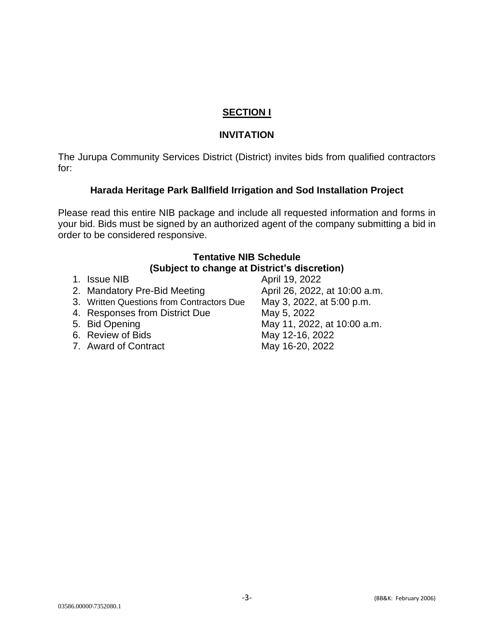#### **SECTION I**

#### **INVITATION**

The Jurupa Community Services District (District) invites bids from qualified contractors for:

#### **Harada Heritage Park Ballfield Irrigation and Sod Installation Project**

Please read this entire NIB package and include all requested information and forms in your bid. Bids must be signed by an authorized agent of the company submitting a bid in order to be considered responsive.

#### **Tentative NIB Schedule (Subject to change at District's discretion)**

- 1. Issue NIB 40 april 19, 2022
- 2. Mandatory Pre-Bid Meeting **April 26, 2022, at 10:00 a.m.**
- 3. Written Questions from Contractors Due May 3, 2022, at 5:00 p.m.
- 4. Responses from District Due May 5, 2022
- 
- 6. Review of Bids May 12-16, 2022
- 7. Award of Contract May 16-20, 2022

5. Bid Opening **May 11, 2022**, at 10:00 a.m.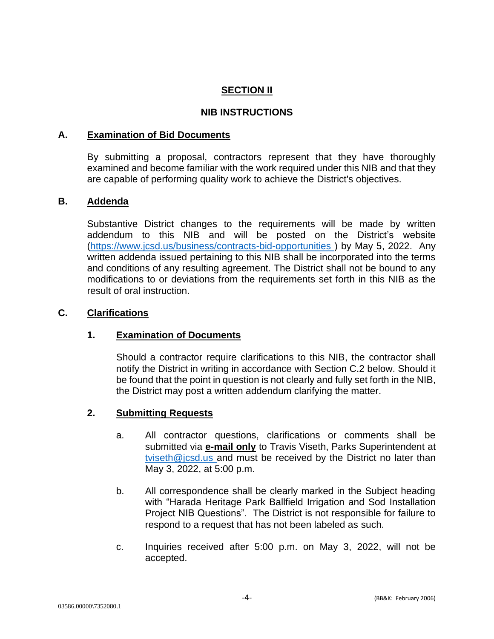#### **SECTION II**

#### **NIB INSTRUCTIONS**

#### **A. Examination of Bid Documents**

By submitting a proposal, contractors represent that they have thoroughly examined and become familiar with the work required under this NIB and that they are capable of performing quality work to achieve the District's objectives.

#### **B. Addenda**

Substantive District changes to the requirements will be made by written addendum to this NIB and will be posted on the District's website [\(https://www.jcsd.us/business/contracts-bid-opportunities \)](https://www.jcsd.us/business/contracts-bid-opportunities) by May 5, 2022. Any written addenda issued pertaining to this NIB shall be incorporated into the terms and conditions of any resulting agreement. The District shall not be bound to any modifications to or deviations from the requirements set forth in this NIB as the result of oral instruction.

#### **C. Clarifications**

#### **1. Examination of Documents**

Should a contractor require clarifications to this NIB, the contractor shall notify the District in writing in accordance with Section C.2 below. Should it be found that the point in question is not clearly and fully set forth in the NIB, the District may post a written addendum clarifying the matter.

#### **2. Submitting Requests**

- a. All contractor questions, clarifications or comments shall be submitted via **e-mail only** to Travis Viseth, Parks Superintendent at [tviseth@jcsd.us a](mailto:tviseth@jcsd.us)nd must be received by the District no later than May 3, 2022, at 5:00 p.m.
- b. All correspondence shall be clearly marked in the Subject heading with "Harada Heritage Park Ballfield Irrigation and Sod Installation Project NIB Questions". The District is not responsible for failure to respond to a request that has not been labeled as such.
- c. Inquiries received after 5:00 p.m. on May 3, 2022, will not be accepted.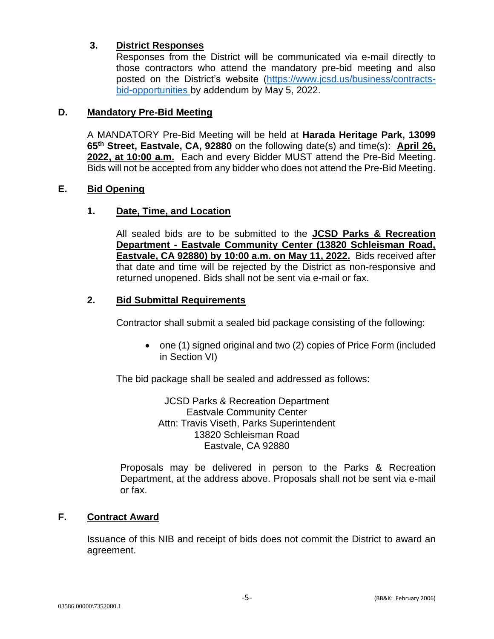#### **3. District Responses**

Responses from the District will be communicated via e-mail directly to those contractors who attend the mandatory pre-bid meeting and also posted on the District's website [\(https://www.jcsd.us/business/contracts](https://www.jcsd.us/business/contracts-bid-opportunities)[bid-opportunities b](https://www.jcsd.us/business/contracts-bid-opportunities)y addendum by May 5, 2022.

#### **D. Mandatory Pre-Bid Meeting**

A MANDATORY Pre-Bid Meeting will be held at **Harada Heritage Park, 13099 65th Street, Eastvale, CA, 92880** on the following date(s) and time(s): **April 26, 2022, at 10:00 a.m.** Each and every Bidder MUST attend the Pre-Bid Meeting. Bids will not be accepted from any bidder who does not attend the Pre-Bid Meeting.

#### **E. Bid Opening**

#### **1. Date, Time, and Location**

All sealed bids are to be submitted to the **JCSD Parks & Recreation Department - Eastvale Community Center (13820 Schleisman Road, Eastvale, CA 92880) by 10:00 a.m. on May 11, 2022.** Bids received after that date and time will be rejected by the District as non-responsive and returned unopened. Bids shall not be sent via e-mail or fax.

#### **2. Bid Submittal Requirements**

Contractor shall submit a sealed bid package consisting of the following:

• one (1) signed original and two (2) copies of Price Form (included in Section VI)

The bid package shall be sealed and addressed as follows:

JCSD Parks & Recreation Department Eastvale Community Center Attn: Travis Viseth, Parks Superintendent 13820 Schleisman Road Eastvale, CA 92880

Proposals may be delivered in person to the Parks & Recreation Department, at the address above. Proposals shall not be sent via e-mail or fax.

#### **F. Contract Award**

Issuance of this NIB and receipt of bids does not commit the District to award an agreement.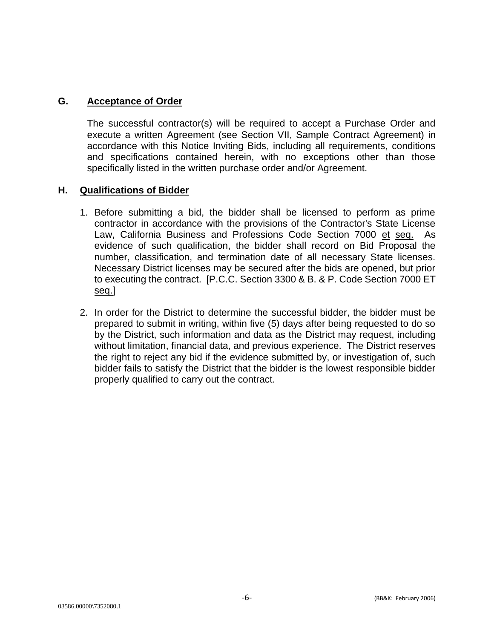#### **G. Acceptance of Order**

The successful contractor(s) will be required to accept a Purchase Order and execute a written Agreement (see Section VII, Sample Contract Agreement) in accordance with this Notice Inviting Bids, including all requirements, conditions and specifications contained herein, with no exceptions other than those specifically listed in the written purchase order and/or Agreement.

#### **H. Qualifications of Bidder**

- 1. Before submitting a bid, the bidder shall be licensed to perform as prime contractor in accordance with the provisions of the Contractor's State License Law, California Business and Professions Code Section 7000 et seq. As evidence of such qualification, the bidder shall record on Bid Proposal the number, classification, and termination date of all necessary State licenses. Necessary District licenses may be secured after the bids are opened, but prior to executing the contract. [P.C.C. Section 3300 & B. & P. Code Section 7000 ET seq.]
- 2. In order for the District to determine the successful bidder, the bidder must be prepared to submit in writing, within five (5) days after being requested to do so by the District, such information and data as the District may request, including without limitation, financial data, and previous experience. The District reserves the right to reject any bid if the evidence submitted by, or investigation of, such bidder fails to satisfy the District that the bidder is the lowest responsible bidder properly qualified to carry out the contract.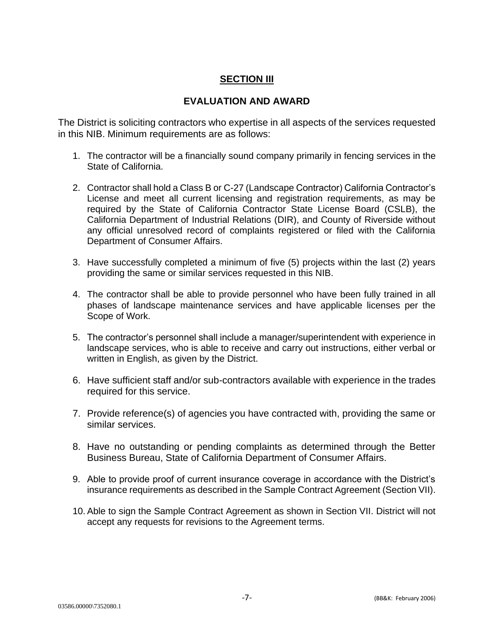#### **SECTION III**

#### **EVALUATION AND AWARD**

The District is soliciting contractors who expertise in all aspects of the services requested in this NIB. Minimum requirements are as follows:

- 1. The contractor will be a financially sound company primarily in fencing services in the State of California.
- 2. Contractor shall hold a Class B or C-27 (Landscape Contractor) California Contractor's License and meet all current licensing and registration requirements, as may be required by the State of California Contractor State License Board (CSLB), the California Department of Industrial Relations (DIR), and County of Riverside without any official unresolved record of complaints registered or filed with the California Department of Consumer Affairs.
- 3. Have successfully completed a minimum of five (5) projects within the last (2) years providing the same or similar services requested in this NIB.
- 4. The contractor shall be able to provide personnel who have been fully trained in all phases of landscape maintenance services and have applicable licenses per the Scope of Work.
- 5. The contractor's personnel shall include a manager/superintendent with experience in landscape services, who is able to receive and carry out instructions, either verbal or written in English, as given by the District.
- 6. Have sufficient staff and/or sub-contractors available with experience in the trades required for this service.
- 7. Provide reference(s) of agencies you have contracted with, providing the same or similar services.
- 8. Have no outstanding or pending complaints as determined through the Better Business Bureau, State of California Department of Consumer Affairs.
- 9. Able to provide proof of current insurance coverage in accordance with the District's insurance requirements as described in the Sample Contract Agreement (Section VII).
- 10. Able to sign the Sample Contract Agreement as shown in Section VII. District will not accept any requests for revisions to the Agreement terms.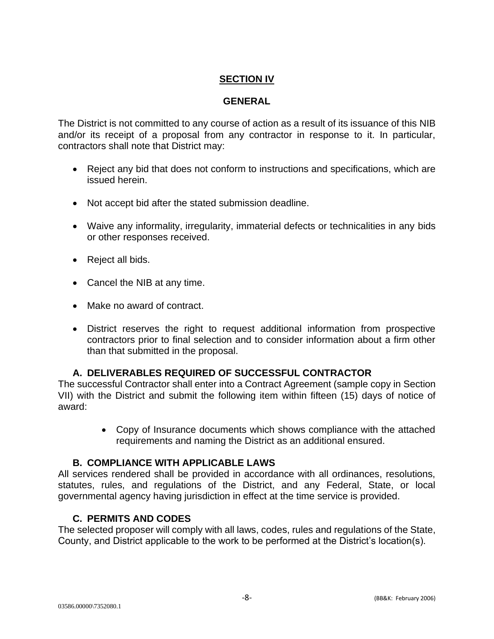#### **SECTION IV**

#### **GENERAL**

The District is not committed to any course of action as a result of its issuance of this NIB and/or its receipt of a proposal from any contractor in response to it. In particular, contractors shall note that District may:

- Reject any bid that does not conform to instructions and specifications, which are issued herein.
- Not accept bid after the stated submission deadline.
- Waive any informality, irregularity, immaterial defects or technicalities in any bids or other responses received.
- Reject all bids.
- Cancel the NIB at any time.
- Make no award of contract.
- District reserves the right to request additional information from prospective contractors prior to final selection and to consider information about a firm other than that submitted in the proposal.

#### **A. DELIVERABLES REQUIRED OF SUCCESSFUL CONTRACTOR**

The successful Contractor shall enter into a Contract Agreement (sample copy in Section VII) with the District and submit the following item within fifteen (15) days of notice of award:

> • Copy of Insurance documents which shows compliance with the attached requirements and naming the District as an additional ensured.

#### **B. COMPLIANCE WITH APPLICABLE LAWS**

All services rendered shall be provided in accordance with all ordinances, resolutions, statutes, rules, and regulations of the District, and any Federal, State, or local governmental agency having jurisdiction in effect at the time service is provided.

#### **C. PERMITS AND CODES**

The selected proposer will comply with all laws, codes, rules and regulations of the State, County, and District applicable to the work to be performed at the District's location(s).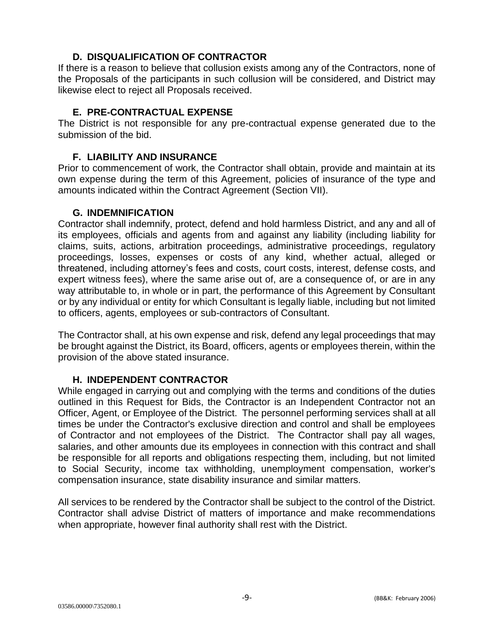#### **D. DISQUALIFICATION OF CONTRACTOR**

If there is a reason to believe that collusion exists among any of the Contractors, none of the Proposals of the participants in such collusion will be considered, and District may likewise elect to reject all Proposals received.

#### **E. PRE-CONTRACTUAL EXPENSE**

The District is not responsible for any pre-contractual expense generated due to the submission of the bid.

#### **F. LIABILITY AND INSURANCE**

Prior to commencement of work, the Contractor shall obtain, provide and maintain at its own expense during the term of this Agreement, policies of insurance of the type and amounts indicated within the Contract Agreement (Section VII).

#### **G. INDEMNIFICATION**

Contractor shall indemnify, protect, defend and hold harmless District, and any and all of its employees, officials and agents from and against any liability (including liability for claims, suits, actions, arbitration proceedings, administrative proceedings, regulatory proceedings, losses, expenses or costs of any kind, whether actual, alleged or threatened, including attorney's fees and costs, court costs, interest, defense costs, and expert witness fees), where the same arise out of, are a consequence of, or are in any way attributable to, in whole or in part, the performance of this Agreement by Consultant or by any individual or entity for which Consultant is legally liable, including but not limited to officers, agents, employees or sub-contractors of Consultant.

The Contractor shall, at his own expense and risk, defend any legal proceedings that may be brought against the District, its Board, officers, agents or employees therein, within the provision of the above stated insurance.

#### **H. INDEPENDENT CONTRACTOR**

While engaged in carrying out and complying with the terms and conditions of the duties outlined in this Request for Bids, the Contractor is an Independent Contractor not an Officer, Agent, or Employee of the District. The personnel performing services shall at all times be under the Contractor's exclusive direction and control and shall be employees of Contractor and not employees of the District. The Contractor shall pay all wages, salaries, and other amounts due its employees in connection with this contract and shall be responsible for all reports and obligations respecting them, including, but not limited to Social Security, income tax withholding, unemployment compensation, worker's compensation insurance, state disability insurance and similar matters.

All services to be rendered by the Contractor shall be subject to the control of the District. Contractor shall advise District of matters of importance and make recommendations when appropriate, however final authority shall rest with the District.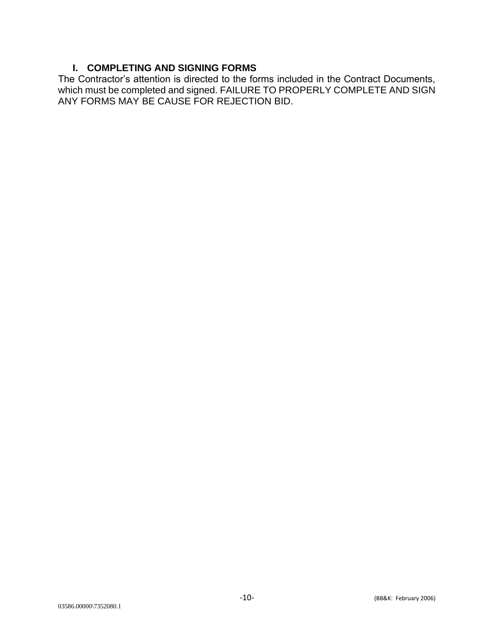#### **I. COMPLETING AND SIGNING FORMS**

The Contractor's attention is directed to the forms included in the Contract Documents, which must be completed and signed. FAILURE TO PROPERLY COMPLETE AND SIGN ANY FORMS MAY BE CAUSE FOR REJECTION BID.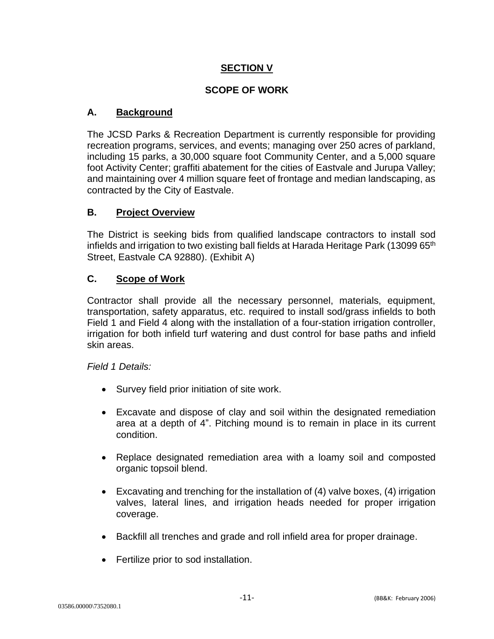#### **SECTION V**

#### **SCOPE OF WORK**

#### **A. Background**

The JCSD Parks & Recreation Department is currently responsible for providing recreation programs, services, and events; managing over 250 acres of parkland, including 15 parks, a 30,000 square foot Community Center, and a 5,000 square foot Activity Center; graffiti abatement for the cities of Eastvale and Jurupa Valley; and maintaining over 4 million square feet of frontage and median landscaping, as contracted by the City of Eastvale.

#### **B. Project Overview**

The District is seeking bids from qualified landscape contractors to install sod infields and irrigation to two existing ball fields at Harada Heritage Park (13099 65<sup>th</sup> Street, Eastvale CA 92880). (Exhibit A)

#### **C. Scope of Work**

Contractor shall provide all the necessary personnel, materials, equipment, transportation, safety apparatus, etc. required to install sod/grass infields to both Field 1 and Field 4 along with the installation of a four-station irrigation controller, irrigation for both infield turf watering and dust control for base paths and infield skin areas.

#### *Field 1 Details:*

- Survey field prior initiation of site work.
- Excavate and dispose of clay and soil within the designated remediation area at a depth of 4". Pitching mound is to remain in place in its current condition.
- Replace designated remediation area with a loamy soil and composted organic topsoil blend.
- Excavating and trenching for the installation of (4) valve boxes, (4) irrigation valves, lateral lines, and irrigation heads needed for proper irrigation coverage.
- Backfill all trenches and grade and roll infield area for proper drainage.
- Fertilize prior to sod installation.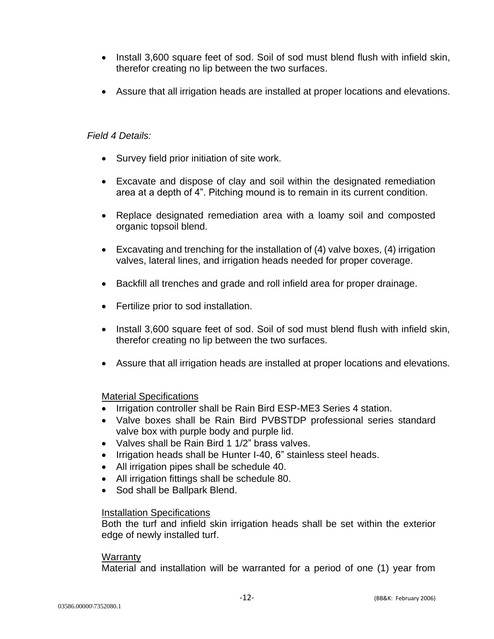- Install 3,600 square feet of sod. Soil of sod must blend flush with infield skin, therefor creating no lip between the two surfaces.
- Assure that all irrigation heads are installed at proper locations and elevations.

#### *Field 4 Details:*

- Survey field prior initiation of site work.
- Excavate and dispose of clay and soil within the designated remediation area at a depth of 4". Pitching mound is to remain in its current condition.
- Replace designated remediation area with a loamy soil and composted organic topsoil blend.
- Excavating and trenching for the installation of (4) valve boxes, (4) irrigation valves, lateral lines, and irrigation heads needed for proper coverage.
- Backfill all trenches and grade and roll infield area for proper drainage.
- Fertilize prior to sod installation.
- Install 3,600 square feet of sod. Soil of sod must blend flush with infield skin, therefor creating no lip between the two surfaces.
- Assure that all irrigation heads are installed at proper locations and elevations.

#### Material Specifications

- Irrigation controller shall be Rain Bird ESP-ME3 Series 4 station.
- Valve boxes shall be Rain Bird PVBSTDP professional series standard valve box with purple body and purple lid.
- Valves shall be Rain Bird 1 1/2" brass valves.
- Irrigation heads shall be Hunter I-40, 6" stainless steel heads.
- All irrigation pipes shall be schedule 40.
- All irrigation fittings shall be schedule 80.
- Sod shall be Ballpark Blend.

#### Installation Specifications

Both the turf and infield skin irrigation heads shall be set within the exterior edge of newly installed turf.

#### Warranty

Material and installation will be warranted for a period of one (1) year from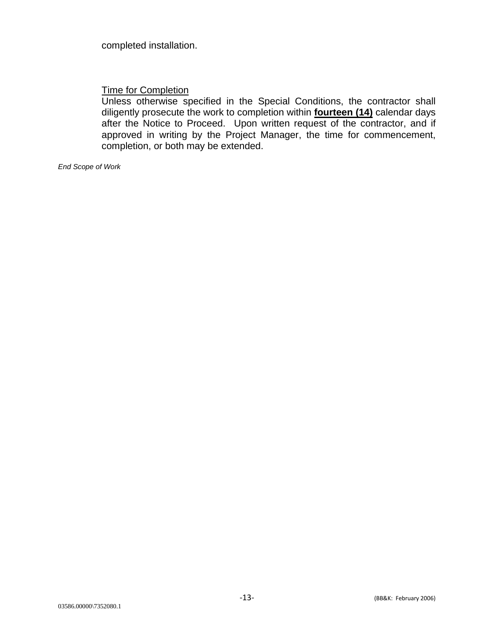completed installation.

Time for Completion

Unless otherwise specified in the Special Conditions, the contractor shall diligently prosecute the work to completion within **fourteen (14)** calendar days after the Notice to Proceed. Upon written request of the contractor, and if approved in writing by the Project Manager, the time for commencement, completion, or both may be extended.

*End Scope of Work*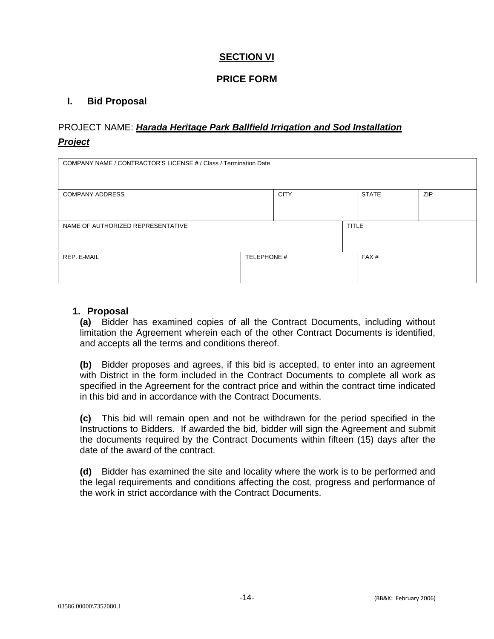#### **SECTION VI**

#### **PRICE FORM**

#### **I. Bid Proposal**

#### PROJECT NAME: *Harada Heritage Park Ballfield Irrigation and Sod Installation Project*

| COMPANY NAME / CONTRACTOR'S LICENSE # / Class / Termination Date |             |              |  |                  |            |
|------------------------------------------------------------------|-------------|--------------|--|------------------|------------|
| <b>COMPANY ADDRESS</b>                                           |             | <b>CITY</b>  |  | <b>STATE</b>     | <b>ZIP</b> |
| NAME OF AUTHORIZED REPRESENTATIVE                                |             | <b>TITLE</b> |  |                  |            |
| REP. E-MAIL                                                      | TELEPHONE # |              |  | FAX <sup>#</sup> |            |

#### **1. Proposal**

**(a)** Bidder has examined copies of all the Contract Documents, including without limitation the Agreement wherein each of the other Contract Documents is identified, and accepts all the terms and conditions thereof.

**(b)** Bidder proposes and agrees, if this bid is accepted, to enter into an agreement with District in the form included in the Contract Documents to complete all work as specified in the Agreement for the contract price and within the contract time indicated in this bid and in accordance with the Contract Documents.

**(c)** This bid will remain open and not be withdrawn for the period specified in the Instructions to Bidders. If awarded the bid, bidder will sign the Agreement and submit the documents required by the Contract Documents within fifteen (15) days after the date of the award of the contract.

**(d)** Bidder has examined the site and locality where the work is to be performed and the legal requirements and conditions affecting the cost, progress and performance of the work in strict accordance with the Contract Documents.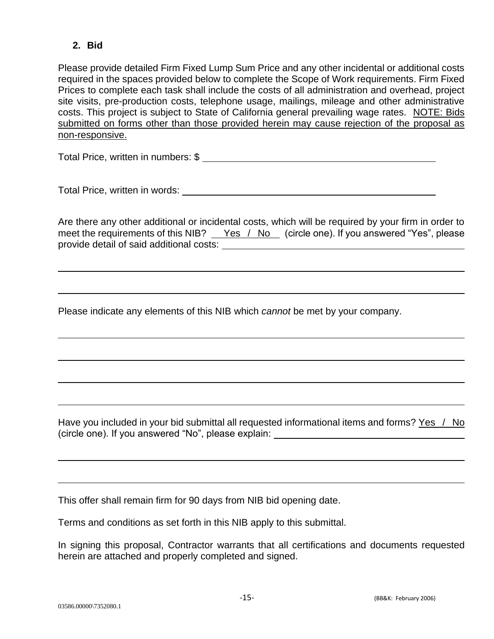#### **2. Bid**

Please provide detailed Firm Fixed Lump Sum Price and any other incidental or additional costs required in the spaces provided below to complete the Scope of Work requirements. Firm Fixed Prices to complete each task shall include the costs of all administration and overhead, project site visits, pre-production costs, telephone usage, mailings, mileage and other administrative costs. This project is subject to State of California general prevailing wage rates. NOTE: Bids submitted on forms other than those provided herein may cause rejection of the proposal as non-responsive.

Total Price, written in numbers: \$

Total Price, written in words:

Are there any other additional or incidental costs, which will be required by your firm in order to meet the requirements of this NIB?  $\_\text{Yes}$  / No (circle one). If you answered "Yes", please provide detail of said additional costs:

Please indicate any elements of this NIB which *cannot* be met by your company.

Have you included in your bid submittal all requested informational items and forms? Yes / No (circle one). If you answered "No", please explain:

This offer shall remain firm for 90 days from NIB bid opening date.

Terms and conditions as set forth in this NIB apply to this submittal.

In signing this proposal, Contractor warrants that all certifications and documents requested herein are attached and properly completed and signed.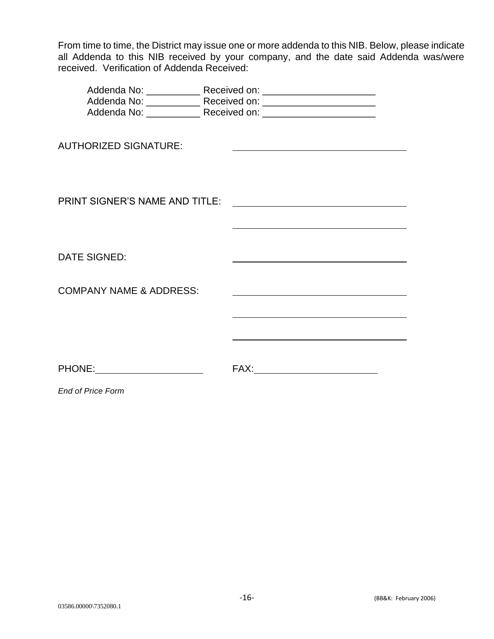From time to time, the District may issue one or more addenda to this NIB. Below, please indicate all Addenda to this NIB received by your company, and the date said Addenda was/were received. Verification of Addenda Received:

| <b>AUTHORIZED SIGNATURE:</b>          |                                                                                                                       |
|---------------------------------------|-----------------------------------------------------------------------------------------------------------------------|
| <b>PRINT SIGNER'S NAME AND TITLE:</b> | <u> 1989 - Jan Samuel Barbara, martin de la propincia de la propincia de la propincia de la propincia de la propi</u> |
| <b>DATE SIGNED:</b>                   |                                                                                                                       |
| <b>COMPANY NAME &amp; ADDRESS:</b>    |                                                                                                                       |
|                                       |                                                                                                                       |
|                                       |                                                                                                                       |
| PHONE: PHONE                          |                                                                                                                       |
| <b>End of Price Form</b>              |                                                                                                                       |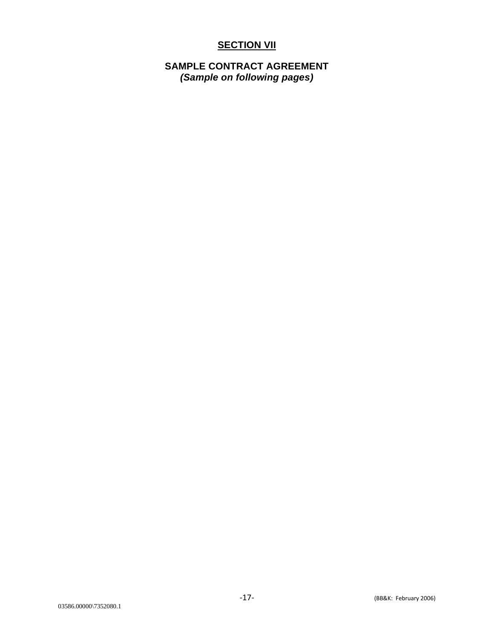#### **SECTION VII**

#### **SAMPLE CONTRACT AGREEMENT**  *(Sample on following pages)*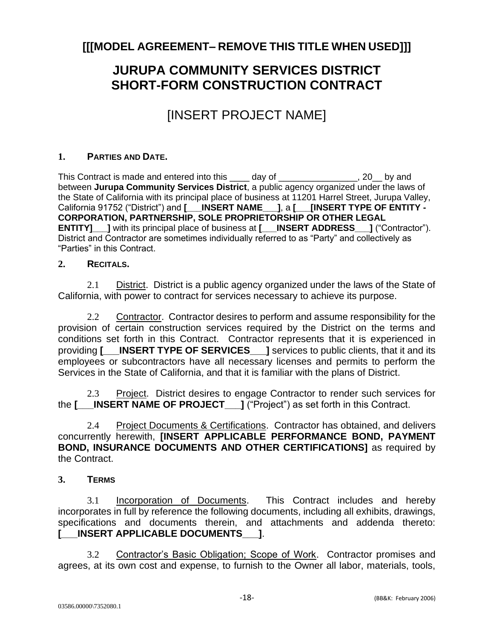### **[[[MODEL AGREEMENT– REMOVE THIS TITLE WHEN USED]]]**

## **JURUPA COMMUNITY SERVICES DISTRICT SHORT-FORM CONSTRUCTION CONTRACT**

## [INSERT PROJECT NAME]

#### **1. PARTIES AND DATE.**

This Contract is made and entered into this \_\_\_\_ day of \_\_\_\_\_\_\_\_\_\_\_\_\_\_\_, 20 by and between **Jurupa Community Services District**, a public agency organized under the laws of the State of California with its principal place of business at 11201 Harrel Street, Jurupa Valley, California 91752 ("District") and **[\_\_\_INSERT NAME\_\_\_]**, a **[\_\_\_[INSERT TYPE OF ENTITY - CORPORATION, PARTNERSHIP, SOLE PROPRIETORSHIP OR OTHER LEGAL ENTITY]** I with its principal place of business at **[\_\_\_INSERT ADDRESS** I ("Contractor"). District and Contractor are sometimes individually referred to as "Party" and collectively as "Parties" in this Contract.

#### **2. RECITALS.**

2.1 District. District is a public agency organized under the laws of the State of California, with power to contract for services necessary to achieve its purpose.

2.2 Contractor. Contractor desires to perform and assume responsibility for the provision of certain construction services required by the District on the terms and conditions set forth in this Contract. Contractor represents that it is experienced in providing **[\_\_\_INSERT TYPE OF SERVICES\_\_\_]** services to public clients, that it and its employees or subcontractors have all necessary licenses and permits to perform the Services in the State of California, and that it is familiar with the plans of District.

2.3 Project. District desires to engage Contractor to render such services for the **[\_\_\_INSERT NAME OF PROJECT\_\_\_]** ("Project") as set forth in this Contract.

2.4 Project Documents & Certifications. Contractor has obtained, and delivers concurrently herewith, **[INSERT APPLICABLE PERFORMANCE BOND, PAYMENT BOND, INSURANCE DOCUMENTS AND OTHER CERTIFICATIONS]** as required by the Contract.

**3. TERMS**

3.1 Incorporation of Documents. This Contract includes and hereby incorporates in full by reference the following documents, including all exhibits, drawings, specifications and documents therein, and attachments and addenda thereto: **[\_\_\_INSERT APPLICABLE DOCUMENTS\_\_\_]**.

3.2 Contractor's Basic Obligation; Scope of Work. Contractor promises and agrees, at its own cost and expense, to furnish to the Owner all labor, materials, tools,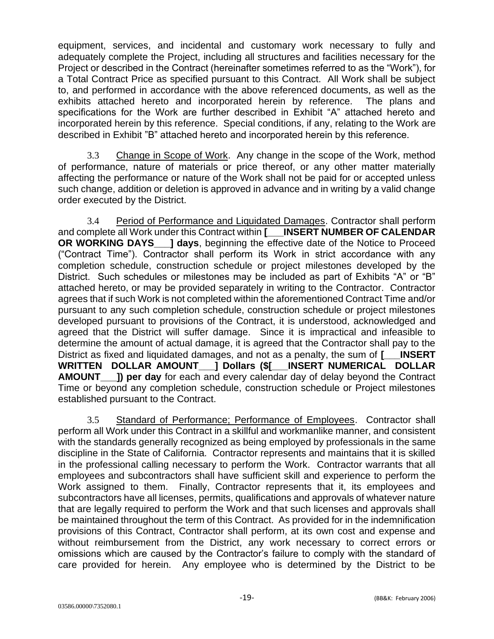equipment, services, and incidental and customary work necessary to fully and adequately complete the Project, including all structures and facilities necessary for the Project or described in the Contract (hereinafter sometimes referred to as the "Work"), for a Total Contract Price as specified pursuant to this Contract. All Work shall be subject to, and performed in accordance with the above referenced documents, as well as the exhibits attached hereto and incorporated herein by reference. The plans and specifications for the Work are further described in Exhibit "A" attached hereto and incorporated herein by this reference. Special conditions, if any, relating to the Work are described in Exhibit "B" attached hereto and incorporated herein by this reference.

3.3 Change in Scope of Work. Any change in the scope of the Work, method of performance, nature of materials or price thereof, or any other matter materially affecting the performance or nature of the Work shall not be paid for or accepted unless such change, addition or deletion is approved in advance and in writing by a valid change order executed by the District.

3.4 Period of Performance and Liquidated Damages. Contractor shall perform and complete all Work under this Contract within **[\_\_\_INSERT NUMBER OF CALENDAR OR WORKING DAYS\_\_\_] days**, beginning the effective date of the Notice to Proceed ("Contract Time"). Contractor shall perform its Work in strict accordance with any completion schedule, construction schedule or project milestones developed by the District. Such schedules or milestones may be included as part of Exhibits "A" or "B" attached hereto, or may be provided separately in writing to the Contractor. Contractor agrees that if such Work is not completed within the aforementioned Contract Time and/or pursuant to any such completion schedule, construction schedule or project milestones developed pursuant to provisions of the Contract, it is understood, acknowledged and agreed that the District will suffer damage. Since it is impractical and infeasible to determine the amount of actual damage, it is agreed that the Contractor shall pay to the District as fixed and liquidated damages, and not as a penalty, the sum of **[\_\_\_INSERT**  WRITTEN DOLLAR AMOUNT | Dollars (\$[ INSERT NUMERICAL DOLLAR **AMOUNT\_\_\_]) per day** for each and every calendar day of delay beyond the Contract Time or beyond any completion schedule, construction schedule or Project milestones established pursuant to the Contract.

3.5 Standard of Performance; Performance of Employees. Contractor shall perform all Work under this Contract in a skillful and workmanlike manner, and consistent with the standards generally recognized as being employed by professionals in the same discipline in the State of California. Contractor represents and maintains that it is skilled in the professional calling necessary to perform the Work. Contractor warrants that all employees and subcontractors shall have sufficient skill and experience to perform the Work assigned to them. Finally, Contractor represents that it, its employees and subcontractors have all licenses, permits, qualifications and approvals of whatever nature that are legally required to perform the Work and that such licenses and approvals shall be maintained throughout the term of this Contract. As provided for in the indemnification provisions of this Contract, Contractor shall perform, at its own cost and expense and without reimbursement from the District, any work necessary to correct errors or omissions which are caused by the Contractor's failure to comply with the standard of care provided for herein. Any employee who is determined by the District to be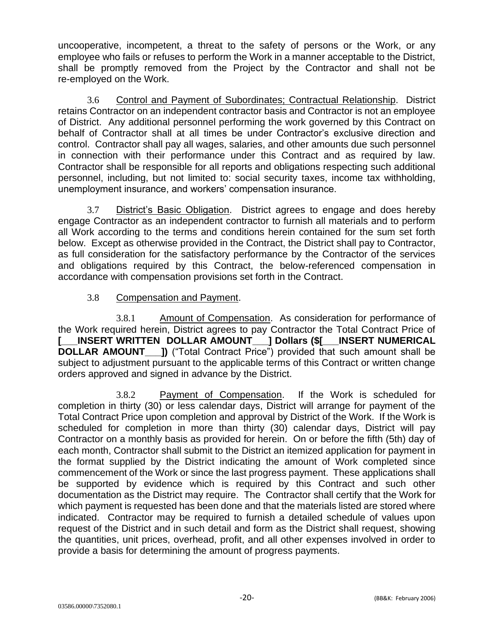uncooperative, incompetent, a threat to the safety of persons or the Work, or any employee who fails or refuses to perform the Work in a manner acceptable to the District, shall be promptly removed from the Project by the Contractor and shall not be re-employed on the Work.

3.6 Control and Payment of Subordinates; Contractual Relationship. District retains Contractor on an independent contractor basis and Contractor is not an employee of District. Any additional personnel performing the work governed by this Contract on behalf of Contractor shall at all times be under Contractor's exclusive direction and control. Contractor shall pay all wages, salaries, and other amounts due such personnel in connection with their performance under this Contract and as required by law. Contractor shall be responsible for all reports and obligations respecting such additional personnel, including, but not limited to: social security taxes, income tax withholding, unemployment insurance, and workers' compensation insurance.

3.7 District's Basic Obligation. District agrees to engage and does hereby engage Contractor as an independent contractor to furnish all materials and to perform all Work according to the terms and conditions herein contained for the sum set forth below. Except as otherwise provided in the Contract, the District shall pay to Contractor, as full consideration for the satisfactory performance by the Contractor of the services and obligations required by this Contract, the below-referenced compensation in accordance with compensation provisions set forth in the Contract.

3.8 Compensation and Payment.

3.8.1 Amount of Compensation. As consideration for performance of the Work required herein, District agrees to pay Contractor the Total Contract Price of INSERT WRITTEN DOLLAR AMOUNT | Dollars (\$[ \_\_ INSERT NUMERICAL **DOLLAR AMOUNT\_\_\_])** ("Total Contract Price") provided that such amount shall be subject to adjustment pursuant to the applicable terms of this Contract or written change orders approved and signed in advance by the District.

3.8.2 Payment of Compensation. If the Work is scheduled for completion in thirty (30) or less calendar days, District will arrange for payment of the Total Contract Price upon completion and approval by District of the Work. If the Work is scheduled for completion in more than thirty (30) calendar days, District will pay Contractor on a monthly basis as provided for herein. On or before the fifth (5th) day of each month, Contractor shall submit to the District an itemized application for payment in the format supplied by the District indicating the amount of Work completed since commencement of the Work or since the last progress payment. These applications shall be supported by evidence which is required by this Contract and such other documentation as the District may require. The Contractor shall certify that the Work for which payment is requested has been done and that the materials listed are stored where indicated. Contractor may be required to furnish a detailed schedule of values upon request of the District and in such detail and form as the District shall request, showing the quantities, unit prices, overhead, profit, and all other expenses involved in order to provide a basis for determining the amount of progress payments.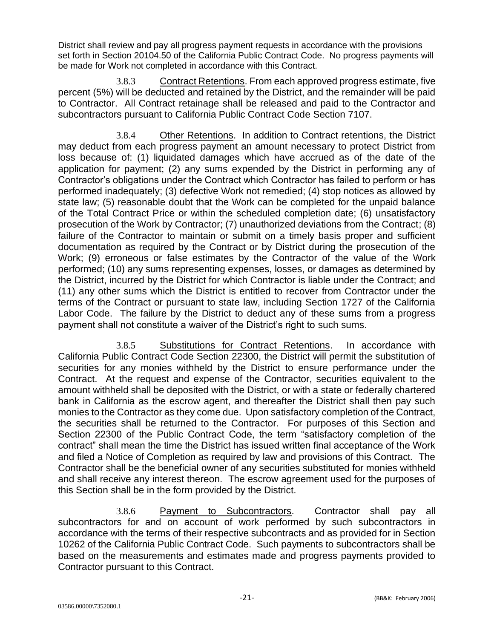District shall review and pay all progress payment requests in accordance with the provisions set forth in Section 20104.50 of the California Public Contract Code. No progress payments will be made for Work not completed in accordance with this Contract.

3.8.3 Contract Retentions. From each approved progress estimate, five percent (5%) will be deducted and retained by the District, and the remainder will be paid to Contractor. All Contract retainage shall be released and paid to the Contractor and subcontractors pursuant to California Public Contract Code Section 7107.

3.8.4 Other Retentions. In addition to Contract retentions, the District may deduct from each progress payment an amount necessary to protect District from loss because of: (1) liquidated damages which have accrued as of the date of the application for payment; (2) any sums expended by the District in performing any of Contractor's obligations under the Contract which Contractor has failed to perform or has performed inadequately; (3) defective Work not remedied; (4) stop notices as allowed by state law; (5) reasonable doubt that the Work can be completed for the unpaid balance of the Total Contract Price or within the scheduled completion date; (6) unsatisfactory prosecution of the Work by Contractor; (7) unauthorized deviations from the Contract; (8) failure of the Contractor to maintain or submit on a timely basis proper and sufficient documentation as required by the Contract or by District during the prosecution of the Work; (9) erroneous or false estimates by the Contractor of the value of the Work performed; (10) any sums representing expenses, losses, or damages as determined by the District, incurred by the District for which Contractor is liable under the Contract; and (11) any other sums which the District is entitled to recover from Contractor under the terms of the Contract or pursuant to state law, including Section 1727 of the California Labor Code. The failure by the District to deduct any of these sums from a progress payment shall not constitute a waiver of the District's right to such sums.

3.8.5 Substitutions for Contract Retentions. In accordance with California Public Contract Code Section 22300, the District will permit the substitution of securities for any monies withheld by the District to ensure performance under the Contract. At the request and expense of the Contractor, securities equivalent to the amount withheld shall be deposited with the District, or with a state or federally chartered bank in California as the escrow agent, and thereafter the District shall then pay such monies to the Contractor as they come due. Upon satisfactory completion of the Contract, the securities shall be returned to the Contractor. For purposes of this Section and Section 22300 of the Public Contract Code, the term "satisfactory completion of the contract" shall mean the time the District has issued written final acceptance of the Work and filed a Notice of Completion as required by law and provisions of this Contract. The Contractor shall be the beneficial owner of any securities substituted for monies withheld and shall receive any interest thereon. The escrow agreement used for the purposes of this Section shall be in the form provided by the District.

3.8.6 Payment to Subcontractors. Contractor shall pay all subcontractors for and on account of work performed by such subcontractors in accordance with the terms of their respective subcontracts and as provided for in Section 10262 of the California Public Contract Code. Such payments to subcontractors shall be based on the measurements and estimates made and progress payments provided to Contractor pursuant to this Contract.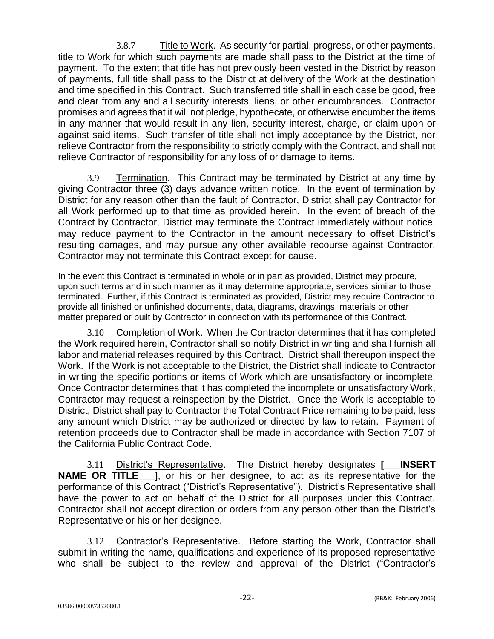3.8.7 Title to Work. As security for partial, progress, or other payments, title to Work for which such payments are made shall pass to the District at the time of payment. To the extent that title has not previously been vested in the District by reason of payments, full title shall pass to the District at delivery of the Work at the destination and time specified in this Contract. Such transferred title shall in each case be good, free and clear from any and all security interests, liens, or other encumbrances. Contractor promises and agrees that it will not pledge, hypothecate, or otherwise encumber the items in any manner that would result in any lien, security interest, charge, or claim upon or against said items. Such transfer of title shall not imply acceptance by the District, nor relieve Contractor from the responsibility to strictly comply with the Contract, and shall not relieve Contractor of responsibility for any loss of or damage to items.

3.9 Termination. This Contract may be terminated by District at any time by giving Contractor three (3) days advance written notice. In the event of termination by District for any reason other than the fault of Contractor, District shall pay Contractor for all Work performed up to that time as provided herein. In the event of breach of the Contract by Contractor, District may terminate the Contract immediately without notice, may reduce payment to the Contractor in the amount necessary to offset District's resulting damages, and may pursue any other available recourse against Contractor. Contractor may not terminate this Contract except for cause.

In the event this Contract is terminated in whole or in part as provided, District may procure, upon such terms and in such manner as it may determine appropriate, services similar to those terminated. Further, if this Contract is terminated as provided, District may require Contractor to provide all finished or unfinished documents, data, diagrams, drawings, materials or other matter prepared or built by Contractor in connection with its performance of this Contract.

3.10 Completion of Work. When the Contractor determines that it has completed the Work required herein, Contractor shall so notify District in writing and shall furnish all labor and material releases required by this Contract. District shall thereupon inspect the Work. If the Work is not acceptable to the District, the District shall indicate to Contractor in writing the specific portions or items of Work which are unsatisfactory or incomplete. Once Contractor determines that it has completed the incomplete or unsatisfactory Work, Contractor may request a reinspection by the District. Once the Work is acceptable to District, District shall pay to Contractor the Total Contract Price remaining to be paid, less any amount which District may be authorized or directed by law to retain. Payment of retention proceeds due to Contractor shall be made in accordance with Section 7107 of the California Public Contract Code.

3.11 District's Representative. The District hereby designates **[\_\_\_INSERT NAME OR TITLE** 1, or his or her designee, to act as its representative for the performance of this Contract ("District's Representative"). District's Representative shall have the power to act on behalf of the District for all purposes under this Contract. Contractor shall not accept direction or orders from any person other than the District's Representative or his or her designee.

3.12 Contractor's Representative. Before starting the Work, Contractor shall submit in writing the name, qualifications and experience of its proposed representative who shall be subject to the review and approval of the District ("Contractor's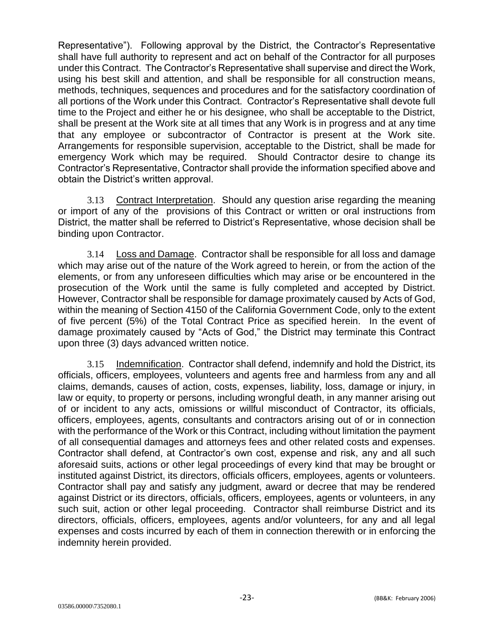Representative"). Following approval by the District, the Contractor's Representative shall have full authority to represent and act on behalf of the Contractor for all purposes under this Contract. The Contractor's Representative shall supervise and direct the Work, using his best skill and attention, and shall be responsible for all construction means, methods, techniques, sequences and procedures and for the satisfactory coordination of all portions of the Work under this Contract. Contractor's Representative shall devote full time to the Project and either he or his designee, who shall be acceptable to the District, shall be present at the Work site at all times that any Work is in progress and at any time that any employee or subcontractor of Contractor is present at the Work site. Arrangements for responsible supervision, acceptable to the District, shall be made for emergency Work which may be required. Should Contractor desire to change its Contractor's Representative, Contractor shall provide the information specified above and obtain the District's written approval.

3.13 Contract Interpretation. Should any question arise regarding the meaning or import of any of the provisions of this Contract or written or oral instructions from District, the matter shall be referred to District's Representative, whose decision shall be binding upon Contractor.

3.14 Loss and Damage. Contractor shall be responsible for all loss and damage which may arise out of the nature of the Work agreed to herein, or from the action of the elements, or from any unforeseen difficulties which may arise or be encountered in the prosecution of the Work until the same is fully completed and accepted by District. However, Contractor shall be responsible for damage proximately caused by Acts of God, within the meaning of Section 4150 of the California Government Code, only to the extent of five percent (5%) of the Total Contract Price as specified herein. In the event of damage proximately caused by "Acts of God," the District may terminate this Contract upon three (3) days advanced written notice.

3.15 Indemnification. Contractor shall defend, indemnify and hold the District, its officials, officers, employees, volunteers and agents free and harmless from any and all claims, demands, causes of action, costs, expenses, liability, loss, damage or injury, in law or equity, to property or persons, including wrongful death, in any manner arising out of or incident to any acts, omissions or willful misconduct of Contractor, its officials, officers, employees, agents, consultants and contractors arising out of or in connection with the performance of the Work or this Contract, including without limitation the payment of all consequential damages and attorneys fees and other related costs and expenses. Contractor shall defend, at Contractor's own cost, expense and risk, any and all such aforesaid suits, actions or other legal proceedings of every kind that may be brought or instituted against District, its directors, officials officers, employees, agents or volunteers. Contractor shall pay and satisfy any judgment, award or decree that may be rendered against District or its directors, officials, officers, employees, agents or volunteers, in any such suit, action or other legal proceeding. Contractor shall reimburse District and its directors, officials, officers, employees, agents and/or volunteers, for any and all legal expenses and costs incurred by each of them in connection therewith or in enforcing the indemnity herein provided.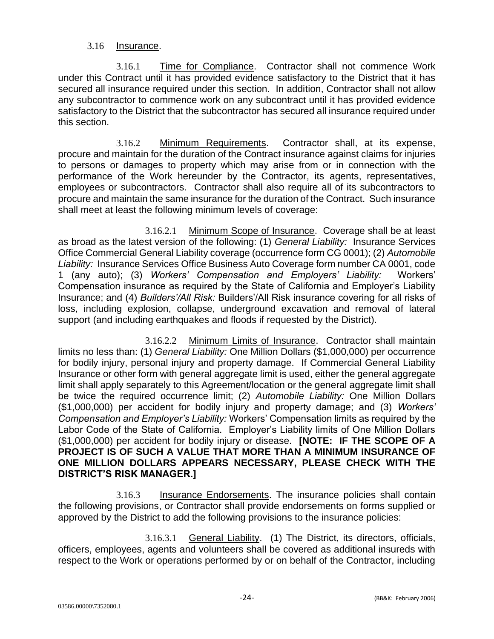#### 3.16 Insurance.

3.16.1 Time for Compliance. Contractor shall not commence Work under this Contract until it has provided evidence satisfactory to the District that it has secured all insurance required under this section. In addition, Contractor shall not allow any subcontractor to commence work on any subcontract until it has provided evidence satisfactory to the District that the subcontractor has secured all insurance required under this section.

3.16.2 Minimum Requirements. Contractor shall, at its expense, procure and maintain for the duration of the Contract insurance against claims for injuries to persons or damages to property which may arise from or in connection with the performance of the Work hereunder by the Contractor, its agents, representatives, employees or subcontractors. Contractor shall also require all of its subcontractors to procure and maintain the same insurance for the duration of the Contract. Such insurance shall meet at least the following minimum levels of coverage:

3.16.2.1 Minimum Scope of Insurance. Coverage shall be at least as broad as the latest version of the following: (1) *General Liability:* Insurance Services Office Commercial General Liability coverage (occurrence form CG 0001); (2) *Automobile Liability:* Insurance Services Office Business Auto Coverage form number CA 0001, code 1 (any auto); (3) *Workers' Compensation and Employers' Liability:* Workers' Compensation insurance as required by the State of California and Employer's Liability Insurance; and (4) *Builders'/All Risk:* Builders'/All Risk insurance covering for all risks of loss, including explosion, collapse, underground excavation and removal of lateral support (and including earthquakes and floods if requested by the District).

3.16.2.2 Minimum Limits of Insurance. Contractor shall maintain limits no less than: (1) *General Liability:* One Million Dollars (\$1,000,000) per occurrence for bodily injury, personal injury and property damage. If Commercial General Liability Insurance or other form with general aggregate limit is used, either the general aggregate limit shall apply separately to this Agreement/location or the general aggregate limit shall be twice the required occurrence limit; (2) *Automobile Liability:* One Million Dollars (\$1,000,000) per accident for bodily injury and property damage; and (3) *Workers' Compensation and Employer's Liability:* Workers' Compensation limits as required by the Labor Code of the State of California. Employer's Liability limits of One Million Dollars (\$1,000,000) per accident for bodily injury or disease. **[NOTE: IF THE SCOPE OF A PROJECT IS OF SUCH A VALUE THAT MORE THAN A MINIMUM INSURANCE OF ONE MILLION DOLLARS APPEARS NECESSARY, PLEASE CHECK WITH THE DISTRICT'S RISK MANAGER.]**

3.16.3 Insurance Endorsements. The insurance policies shall contain the following provisions, or Contractor shall provide endorsements on forms supplied or approved by the District to add the following provisions to the insurance policies:

3.16.3.1 General Liability. (1) The District, its directors, officials, officers, employees, agents and volunteers shall be covered as additional insureds with respect to the Work or operations performed by or on behalf of the Contractor, including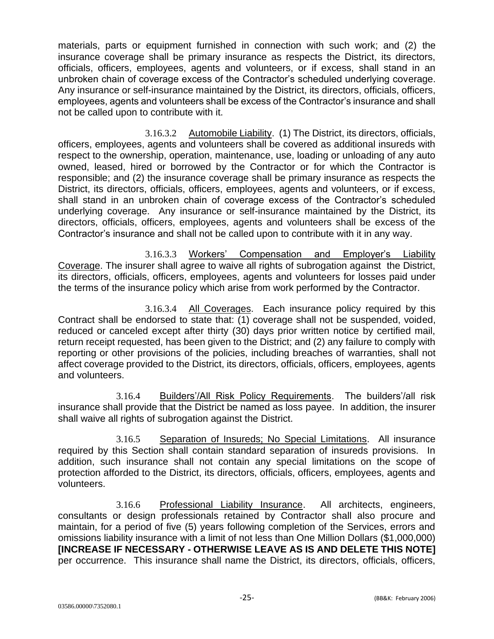materials, parts or equipment furnished in connection with such work; and (2) the insurance coverage shall be primary insurance as respects the District, its directors, officials, officers, employees, agents and volunteers, or if excess, shall stand in an unbroken chain of coverage excess of the Contractor's scheduled underlying coverage. Any insurance or self-insurance maintained by the District, its directors, officials, officers, employees, agents and volunteers shall be excess of the Contractor's insurance and shall not be called upon to contribute with it.

3.16.3.2 Automobile Liability. (1) The District, its directors, officials, officers, employees, agents and volunteers shall be covered as additional insureds with respect to the ownership, operation, maintenance, use, loading or unloading of any auto owned, leased, hired or borrowed by the Contractor or for which the Contractor is responsible; and (2) the insurance coverage shall be primary insurance as respects the District, its directors, officials, officers, employees, agents and volunteers, or if excess, shall stand in an unbroken chain of coverage excess of the Contractor's scheduled underlying coverage. Any insurance or self-insurance maintained by the District, its directors, officials, officers, employees, agents and volunteers shall be excess of the Contractor's insurance and shall not be called upon to contribute with it in any way.

3.16.3.3 Workers' Compensation and Employer's Liability Coverage. The insurer shall agree to waive all rights of subrogation against the District, its directors, officials, officers, employees, agents and volunteers for losses paid under the terms of the insurance policy which arise from work performed by the Contractor.

3.16.3.4 All Coverages. Each insurance policy required by this Contract shall be endorsed to state that: (1) coverage shall not be suspended, voided, reduced or canceled except after thirty (30) days prior written notice by certified mail, return receipt requested, has been given to the District; and (2) any failure to comply with reporting or other provisions of the policies, including breaches of warranties, shall not affect coverage provided to the District, its directors, officials, officers, employees, agents and volunteers.

3.16.4 Builders'/All Risk Policy Requirements. The builders'/all risk insurance shall provide that the District be named as loss payee. In addition, the insurer shall waive all rights of subrogation against the District.

3.16.5 Separation of Insureds; No Special Limitations. All insurance required by this Section shall contain standard separation of insureds provisions. In addition, such insurance shall not contain any special limitations on the scope of protection afforded to the District, its directors, officials, officers, employees, agents and volunteers.

3.16.6 Professional Liability Insurance. All architects, engineers, consultants or design professionals retained by Contractor shall also procure and maintain, for a period of five (5) years following completion of the Services, errors and omissions liability insurance with a limit of not less than One Million Dollars (\$1,000,000) **[INCREASE IF NECESSARY - OTHERWISE LEAVE AS IS AND DELETE THIS NOTE]** per occurrence. This insurance shall name the District, its directors, officials, officers,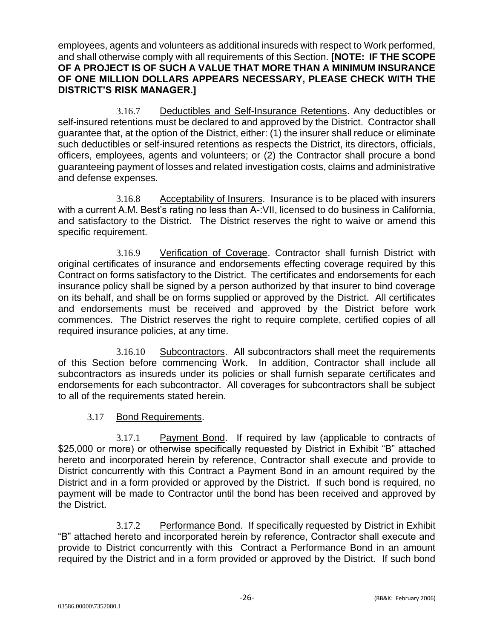employees, agents and volunteers as additional insureds with respect to Work performed, and shall otherwise comply with all requirements of this Section. **[NOTE: IF THE SCOPE OF A PROJECT IS OF SUCH A VALUE THAT MORE THAN A MINIMUM INSURANCE OF ONE MILLION DOLLARS APPEARS NECESSARY, PLEASE CHECK WITH THE DISTRICT'S RISK MANAGER.]**

3.16.7 Deductibles and Self-Insurance Retentions. Any deductibles or self-insured retentions must be declared to and approved by the District. Contractor shall guarantee that, at the option of the District, either: (1) the insurer shall reduce or eliminate such deductibles or self-insured retentions as respects the District, its directors, officials, officers, employees, agents and volunteers; or (2) the Contractor shall procure a bond guaranteeing payment of losses and related investigation costs, claims and administrative and defense expenses.

3.16.8 Acceptability of Insurers. Insurance is to be placed with insurers with a current A.M. Best's rating no less than A-:VII, licensed to do business in California, and satisfactory to the District. The District reserves the right to waive or amend this specific requirement.

3.16.9 Verification of Coverage. Contractor shall furnish District with original certificates of insurance and endorsements effecting coverage required by this Contract on forms satisfactory to the District. The certificates and endorsements for each insurance policy shall be signed by a person authorized by that insurer to bind coverage on its behalf, and shall be on forms supplied or approved by the District. All certificates and endorsements must be received and approved by the District before work commences. The District reserves the right to require complete, certified copies of all required insurance policies, at any time.

3.16.10 Subcontractors. All subcontractors shall meet the requirements of this Section before commencing Work. In addition, Contractor shall include all subcontractors as insureds under its policies or shall furnish separate certificates and endorsements for each subcontractor. All coverages for subcontractors shall be subject to all of the requirements stated herein.

3.17 Bond Requirements.

3.17.1 Payment Bond. If required by law (applicable to contracts of \$25,000 or more) or otherwise specifically requested by District in Exhibit "B" attached hereto and incorporated herein by reference, Contractor shall execute and provide to District concurrently with this Contract a Payment Bond in an amount required by the District and in a form provided or approved by the District. If such bond is required, no payment will be made to Contractor until the bond has been received and approved by the District.

3.17.2 Performance Bond. If specifically requested by District in Exhibit "B" attached hereto and incorporated herein by reference, Contractor shall execute and provide to District concurrently with this Contract a Performance Bond in an amount required by the District and in a form provided or approved by the District. If such bond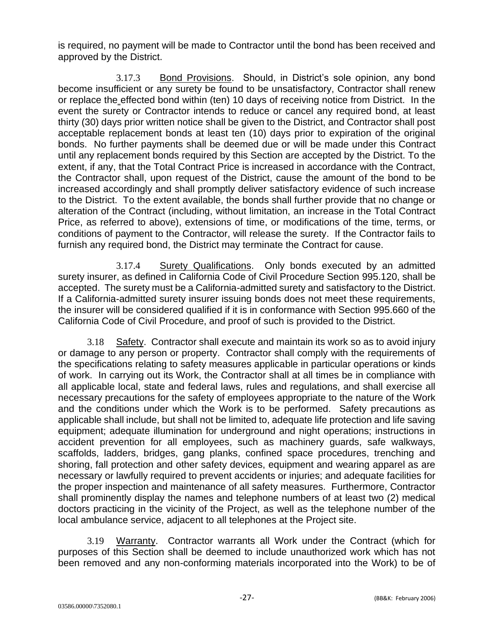is required, no payment will be made to Contractor until the bond has been received and approved by the District.

3.17.3 Bond Provisions. Should, in District's sole opinion, any bond become insufficient or any surety be found to be unsatisfactory, Contractor shall renew or replace the effected bond within (ten) 10 days of receiving notice from District. In the event the surety or Contractor intends to reduce or cancel any required bond, at least thirty (30) days prior written notice shall be given to the District, and Contractor shall post acceptable replacement bonds at least ten (10) days prior to expiration of the original bonds. No further payments shall be deemed due or will be made under this Contract until any replacement bonds required by this Section are accepted by the District. To the extent, if any, that the Total Contract Price is increased in accordance with the Contract, the Contractor shall, upon request of the District, cause the amount of the bond to be increased accordingly and shall promptly deliver satisfactory evidence of such increase to the District. To the extent available, the bonds shall further provide that no change or alteration of the Contract (including, without limitation, an increase in the Total Contract Price, as referred to above), extensions of time, or modifications of the time, terms, or conditions of payment to the Contractor, will release the surety. If the Contractor fails to furnish any required bond, the District may terminate the Contract for cause.

3.17.4 Surety Qualifications. Only bonds executed by an admitted surety insurer, as defined in California Code of Civil Procedure Section 995.120, shall be accepted. The surety must be a California-admitted surety and satisfactory to the District. If a California-admitted surety insurer issuing bonds does not meet these requirements, the insurer will be considered qualified if it is in conformance with Section 995.660 of the California Code of Civil Procedure, and proof of such is provided to the District.

3.18 Safety. Contractor shall execute and maintain its work so as to avoid injury or damage to any person or property. Contractor shall comply with the requirements of the specifications relating to safety measures applicable in particular operations or kinds of work. In carrying out its Work, the Contractor shall at all times be in compliance with all applicable local, state and federal laws, rules and regulations, and shall exercise all necessary precautions for the safety of employees appropriate to the nature of the Work and the conditions under which the Work is to be performed. Safety precautions as applicable shall include, but shall not be limited to, adequate life protection and life saving equipment; adequate illumination for underground and night operations; instructions in accident prevention for all employees, such as machinery guards, safe walkways, scaffolds, ladders, bridges, gang planks, confined space procedures, trenching and shoring, fall protection and other safety devices, equipment and wearing apparel as are necessary or lawfully required to prevent accidents or injuries; and adequate facilities for the proper inspection and maintenance of all safety measures. Furthermore, Contractor shall prominently display the names and telephone numbers of at least two (2) medical doctors practicing in the vicinity of the Project, as well as the telephone number of the local ambulance service, adjacent to all telephones at the Project site.

3.19 Warranty. Contractor warrants all Work under the Contract (which for purposes of this Section shall be deemed to include unauthorized work which has not been removed and any non-conforming materials incorporated into the Work) to be of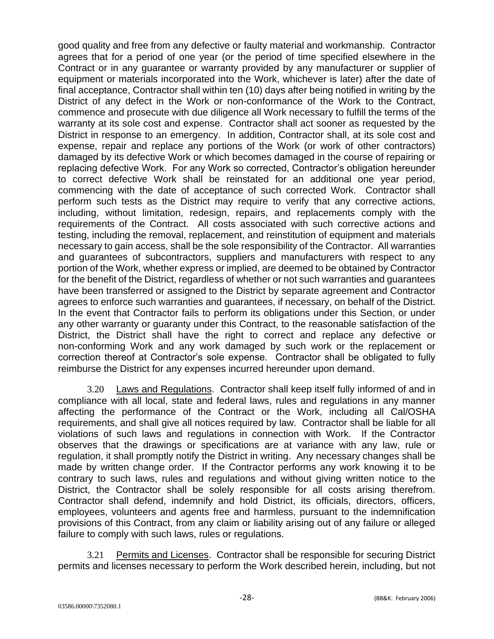good quality and free from any defective or faulty material and workmanship. Contractor agrees that for a period of one year (or the period of time specified elsewhere in the Contract or in any guarantee or warranty provided by any manufacturer or supplier of equipment or materials incorporated into the Work, whichever is later) after the date of final acceptance, Contractor shall within ten (10) days after being notified in writing by the District of any defect in the Work or non-conformance of the Work to the Contract, commence and prosecute with due diligence all Work necessary to fulfill the terms of the warranty at its sole cost and expense. Contractor shall act sooner as requested by the District in response to an emergency. In addition, Contractor shall, at its sole cost and expense, repair and replace any portions of the Work (or work of other contractors) damaged by its defective Work or which becomes damaged in the course of repairing or replacing defective Work. For any Work so corrected, Contractor's obligation hereunder to correct defective Work shall be reinstated for an additional one year period, commencing with the date of acceptance of such corrected Work. Contractor shall perform such tests as the District may require to verify that any corrective actions, including, without limitation, redesign, repairs, and replacements comply with the requirements of the Contract. All costs associated with such corrective actions and testing, including the removal, replacement, and reinstitution of equipment and materials necessary to gain access, shall be the sole responsibility of the Contractor. All warranties and guarantees of subcontractors, suppliers and manufacturers with respect to any portion of the Work, whether express or implied, are deemed to be obtained by Contractor for the benefit of the District, regardless of whether or not such warranties and guarantees have been transferred or assigned to the District by separate agreement and Contractor agrees to enforce such warranties and guarantees, if necessary, on behalf of the District. In the event that Contractor fails to perform its obligations under this Section, or under any other warranty or guaranty under this Contract, to the reasonable satisfaction of the District, the District shall have the right to correct and replace any defective or non-conforming Work and any work damaged by such work or the replacement or correction thereof at Contractor's sole expense. Contractor shall be obligated to fully reimburse the District for any expenses incurred hereunder upon demand.

3.20 Laws and Regulations. Contractor shall keep itself fully informed of and in compliance with all local, state and federal laws, rules and regulations in any manner affecting the performance of the Contract or the Work, including all Cal/OSHA requirements, and shall give all notices required by law. Contractor shall be liable for all violations of such laws and regulations in connection with Work. If the Contractor observes that the drawings or specifications are at variance with any law, rule or regulation, it shall promptly notify the District in writing. Any necessary changes shall be made by written change order. If the Contractor performs any work knowing it to be contrary to such laws, rules and regulations and without giving written notice to the District, the Contractor shall be solely responsible for all costs arising therefrom. Contractor shall defend, indemnify and hold District, its officials, directors, officers, employees, volunteers and agents free and harmless, pursuant to the indemnification provisions of this Contract, from any claim or liability arising out of any failure or alleged failure to comply with such laws, rules or regulations.

3.21 Permits and Licenses. Contractor shall be responsible for securing District permits and licenses necessary to perform the Work described herein, including, but not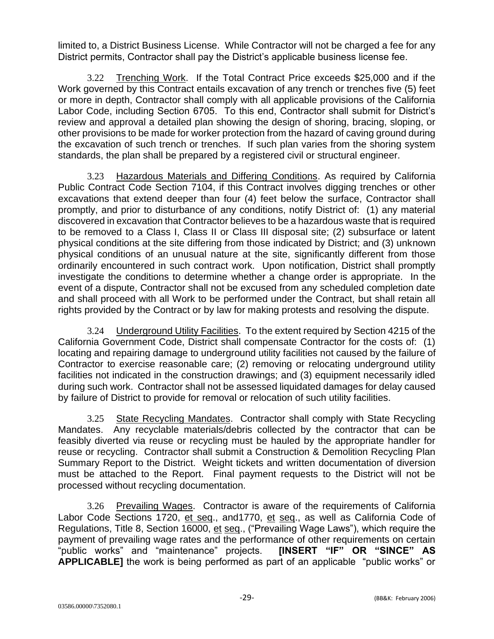limited to, a District Business License. While Contractor will not be charged a fee for any District permits, Contractor shall pay the District's applicable business license fee.

3.22 Trenching Work. If the Total Contract Price exceeds \$25,000 and if the Work governed by this Contract entails excavation of any trench or trenches five (5) feet or more in depth, Contractor shall comply with all applicable provisions of the California Labor Code, including Section 6705. To this end, Contractor shall submit for District's review and approval a detailed plan showing the design of shoring, bracing, sloping, or other provisions to be made for worker protection from the hazard of caving ground during the excavation of such trench or trenches. If such plan varies from the shoring system standards, the plan shall be prepared by a registered civil or structural engineer.

3.23 Hazardous Materials and Differing Conditions. As required by California Public Contract Code Section 7104, if this Contract involves digging trenches or other excavations that extend deeper than four (4) feet below the surface, Contractor shall promptly, and prior to disturbance of any conditions, notify District of: (1) any material discovered in excavation that Contractor believes to be a hazardous waste that is required to be removed to a Class I, Class II or Class III disposal site; (2) subsurface or latent physical conditions at the site differing from those indicated by District; and (3) unknown physical conditions of an unusual nature at the site, significantly different from those ordinarily encountered in such contract work. Upon notification, District shall promptly investigate the conditions to determine whether a change order is appropriate. In the event of a dispute, Contractor shall not be excused from any scheduled completion date and shall proceed with all Work to be performed under the Contract, but shall retain all rights provided by the Contract or by law for making protests and resolving the dispute.

3.24 Underground Utility Facilities. To the extent required by Section 4215 of the California Government Code, District shall compensate Contractor for the costs of: (1) locating and repairing damage to underground utility facilities not caused by the failure of Contractor to exercise reasonable care; (2) removing or relocating underground utility facilities not indicated in the construction drawings; and (3) equipment necessarily idled during such work. Contractor shall not be assessed liquidated damages for delay caused by failure of District to provide for removal or relocation of such utility facilities.

3.25 State Recycling Mandates. Contractor shall comply with State Recycling Mandates. Any recyclable materials/debris collected by the contractor that can be feasibly diverted via reuse or recycling must be hauled by the appropriate handler for reuse or recycling. Contractor shall submit a Construction & Demolition Recycling Plan Summary Report to the District. Weight tickets and written documentation of diversion must be attached to the Report. Final payment requests to the District will not be processed without recycling documentation.

3.26 Prevailing Wages. Contractor is aware of the requirements of California Labor Code Sections 1720, et seq., and1770, et seq., as well as California Code of Regulations, Title 8, Section 16000, et seq., ("Prevailing Wage Laws"), which require the payment of prevailing wage rates and the performance of other requirements on certain<br>"public works" and "maintenance" projects. **[INSERT "IF" OR "SINCE" AS** "public works" and "maintenance" projects. **APPLICABLE]** the work is being performed as part of an applicable "public works" or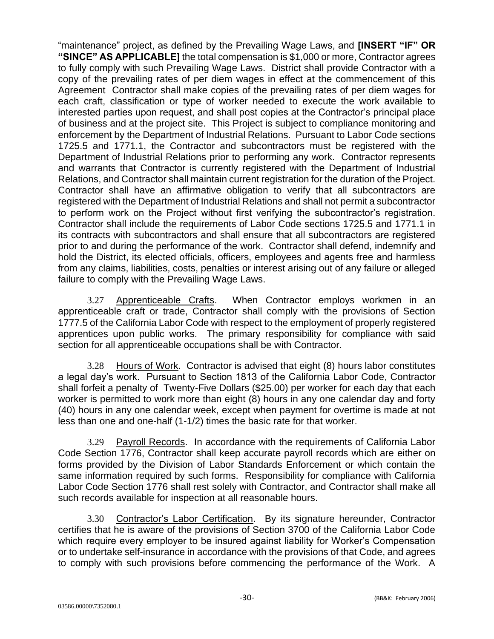"maintenance" project, as defined by the Prevailing Wage Laws, and **[INSERT "IF" OR "SINCE" AS APPLICABLE]** the total compensation is \$1,000 or more, Contractor agrees to fully comply with such Prevailing Wage Laws. District shall provide Contractor with a copy of the prevailing rates of per diem wages in effect at the commencement of this Agreement Contractor shall make copies of the prevailing rates of per diem wages for each craft, classification or type of worker needed to execute the work available to interested parties upon request, and shall post copies at the Contractor's principal place of business and at the project site. This Project is subject to compliance monitoring and enforcement by the Department of Industrial Relations. Pursuant to Labor Code sections 1725.5 and 1771.1, the Contractor and subcontractors must be registered with the Department of Industrial Relations prior to performing any work. Contractor represents and warrants that Contractor is currently registered with the Department of Industrial Relations, and Contractor shall maintain current registration for the duration of the Project. Contractor shall have an affirmative obligation to verify that all subcontractors are registered with the Department of Industrial Relations and shall not permit a subcontractor to perform work on the Project without first verifying the subcontractor's registration. Contractor shall include the requirements of Labor Code sections 1725.5 and 1771.1 in its contracts with subcontractors and shall ensure that all subcontractors are registered prior to and during the performance of the work. Contractor shall defend, indemnify and hold the District, its elected officials, officers, employees and agents free and harmless from any claims, liabilities, costs, penalties or interest arising out of any failure or alleged failure to comply with the Prevailing Wage Laws.

3.27 Apprenticeable Crafts. When Contractor employs workmen in an apprenticeable craft or trade, Contractor shall comply with the provisions of Section 1777.5 of the California Labor Code with respect to the employment of properly registered apprentices upon public works. The primary responsibility for compliance with said section for all apprenticeable occupations shall be with Contractor.

3.28 Hours of Work. Contractor is advised that eight (8) hours labor constitutes a legal day's work. Pursuant to Section 1813 of the California Labor Code, Contractor shall forfeit a penalty of Twenty-Five Dollars (\$25.00) per worker for each day that each worker is permitted to work more than eight (8) hours in any one calendar day and forty (40) hours in any one calendar week, except when payment for overtime is made at not less than one and one-half (1-1/2) times the basic rate for that worker.

3.29 Payroll Records. In accordance with the requirements of California Labor Code Section 1776, Contractor shall keep accurate payroll records which are either on forms provided by the Division of Labor Standards Enforcement or which contain the same information required by such forms. Responsibility for compliance with California Labor Code Section 1776 shall rest solely with Contractor, and Contractor shall make all such records available for inspection at all reasonable hours.

3.30 Contractor's Labor Certification. By its signature hereunder, Contractor certifies that he is aware of the provisions of Section 3700 of the California Labor Code which require every employer to be insured against liability for Worker's Compensation or to undertake self-insurance in accordance with the provisions of that Code, and agrees to comply with such provisions before commencing the performance of the Work. A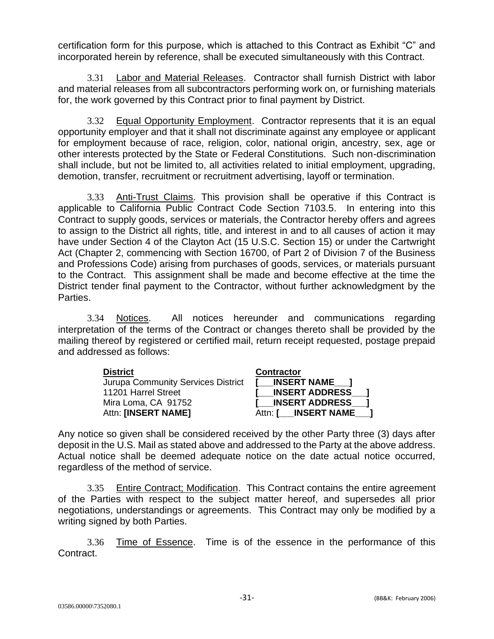certification form for this purpose, which is attached to this Contract as Exhibit "C" and incorporated herein by reference, shall be executed simultaneously with this Contract.

3.31 Labor and Material Releases. Contractor shall furnish District with labor and material releases from all subcontractors performing work on, or furnishing materials for, the work governed by this Contract prior to final payment by District.

3.32 Equal Opportunity Employment. Contractor represents that it is an equal opportunity employer and that it shall not discriminate against any employee or applicant for employment because of race, religion, color, national origin, ancestry, sex, age or other interests protected by the State or Federal Constitutions. Such non-discrimination shall include, but not be limited to, all activities related to initial employment, upgrading, demotion, transfer, recruitment or recruitment advertising, layoff or termination.

3.33 Anti-Trust Claims. This provision shall be operative if this Contract is applicable to California Public Contract Code Section 7103.5. In entering into this Contract to supply goods, services or materials, the Contractor hereby offers and agrees to assign to the District all rights, title, and interest in and to all causes of action it may have under Section 4 of the Clayton Act (15 U.S.C. Section 15) or under the Cartwright Act (Chapter 2, commencing with Section 16700, of Part 2 of Division 7 of the Business and Professions Code) arising from purchases of goods, services, or materials pursuant to the Contract. This assignment shall be made and become effective at the time the District tender final payment to the Contractor, without further acknowledgment by the Parties.

3.34 Notices. All notices hereunder and communications regarding interpretation of the terms of the Contract or changes thereto shall be provided by the mailing thereof by registered or certified mail, return receipt requested, postage prepaid and addressed as follows:

| <b>District</b>                    | <b>Contractor</b>     |
|------------------------------------|-----------------------|
| Jurupa Community Services District | [ INSERT NAME ]       |
| 11201 Harrel Street                | [ INSERT ADDRESS ]    |
| Mira Loma, CA 91752                | I INSERT ADDRESS 1    |
| Attn: [INSERT NAME]                | Attn: [ INSERT NAME ] |

Any notice so given shall be considered received by the other Party three (3) days after deposit in the U.S. Mail as stated above and addressed to the Party at the above address. Actual notice shall be deemed adequate notice on the date actual notice occurred, regardless of the method of service.

3.35 Entire Contract; Modification. This Contract contains the entire agreement of the Parties with respect to the subject matter hereof, and supersedes all prior negotiations, understandings or agreements. This Contract may only be modified by a writing signed by both Parties.

3.36 Time of Essence. Time is of the essence in the performance of this Contract.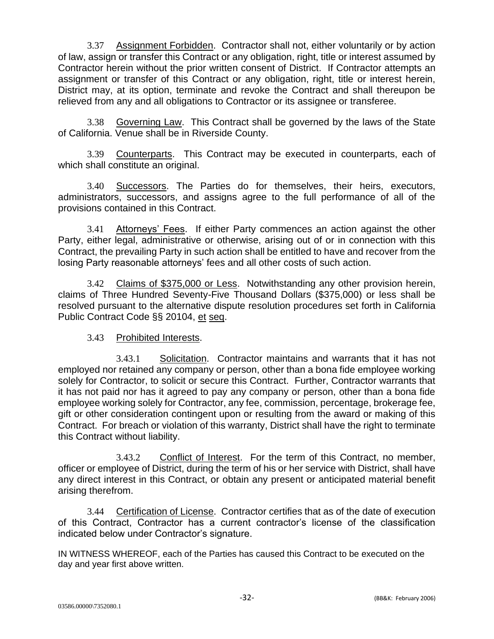3.37 Assignment Forbidden. Contractor shall not, either voluntarily or by action of law, assign or transfer this Contract or any obligation, right, title or interest assumed by Contractor herein without the prior written consent of District. If Contractor attempts an assignment or transfer of this Contract or any obligation, right, title or interest herein, District may, at its option, terminate and revoke the Contract and shall thereupon be relieved from any and all obligations to Contractor or its assignee or transferee.

3.38 Governing Law. This Contract shall be governed by the laws of the State of California. Venue shall be in Riverside County.

3.39 Counterparts. This Contract may be executed in counterparts, each of which shall constitute an original.

3.40 Successors. The Parties do for themselves, their heirs, executors, administrators, successors, and assigns agree to the full performance of all of the provisions contained in this Contract.

3.41 Attorneys' Fees. If either Party commences an action against the other Party, either legal, administrative or otherwise, arising out of or in connection with this Contract, the prevailing Party in such action shall be entitled to have and recover from the losing Party reasonable attorneys' fees and all other costs of such action.

3.42 Claims of \$375,000 or Less. Notwithstanding any other provision herein, claims of Three Hundred Seventy-Five Thousand Dollars (\$375,000) or less shall be resolved pursuant to the alternative dispute resolution procedures set forth in California Public Contract Code §§ 20104, et seq.

#### 3.43 Prohibited Interests.

3.43.1 Solicitation. Contractor maintains and warrants that it has not employed nor retained any company or person, other than a bona fide employee working solely for Contractor, to solicit or secure this Contract. Further, Contractor warrants that it has not paid nor has it agreed to pay any company or person, other than a bona fide employee working solely for Contractor, any fee, commission, percentage, brokerage fee, gift or other consideration contingent upon or resulting from the award or making of this Contract. For breach or violation of this warranty, District shall have the right to terminate this Contract without liability.

3.43.2 Conflict of Interest. For the term of this Contract, no member, officer or employee of District, during the term of his or her service with District, shall have any direct interest in this Contract, or obtain any present or anticipated material benefit arising therefrom.

3.44 Certification of License. Contractor certifies that as of the date of execution of this Contract, Contractor has a current contractor's license of the classification indicated below under Contractor's signature.

IN WITNESS WHEREOF, each of the Parties has caused this Contract to be executed on the day and year first above written.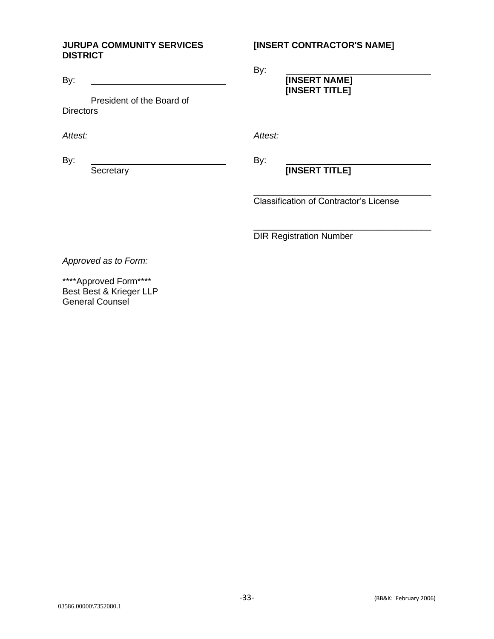#### **JURUPA COMMUNITY SERVICES DISTRICT**

By:

President of the Board of **Directors** 

*Attest:*

By:

**Secretary** 

#### **[INSERT CONTRACTOR'S NAME]**

By:

**[INSERT NAME] [INSERT TITLE]**

*Attest:*

By:

### **[INSERT TITLE]**

\_\_\_\_\_\_\_\_\_\_\_\_\_\_\_\_\_\_\_\_\_\_\_\_\_\_\_\_\_\_\_\_\_\_\_\_ Classification of Contractor's License

\_\_\_\_\_\_\_\_\_\_\_\_\_\_\_\_\_\_\_\_\_\_\_\_\_\_\_\_\_\_\_\_\_\_\_\_ DIR Registration Number

*Approved as to Form:*

\*\*\*\*Approved Form\*\*\*\* Best Best & Krieger LLP General Counsel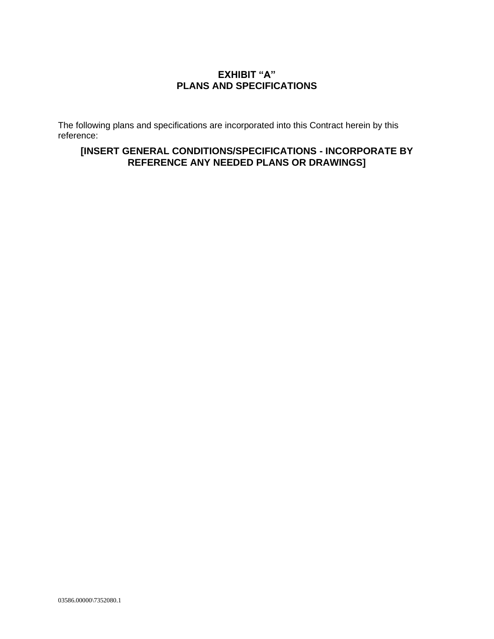#### **EXHIBIT "A" PLANS AND SPECIFICATIONS**

The following plans and specifications are incorporated into this Contract herein by this reference:

#### **[INSERT GENERAL CONDITIONS/SPECIFICATIONS - INCORPORATE BY REFERENCE ANY NEEDED PLANS OR DRAWINGS]**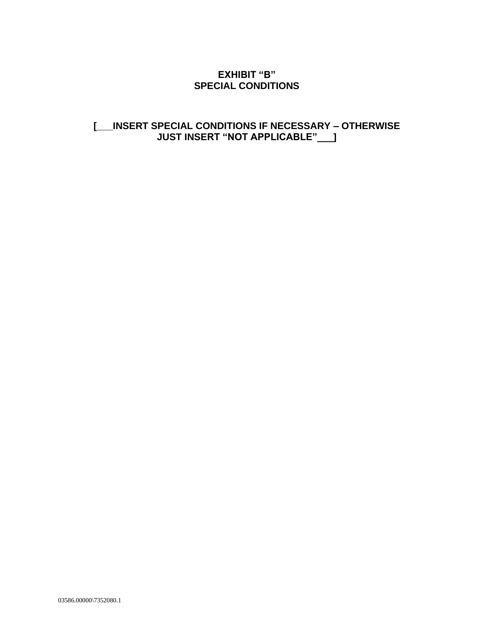#### **EXHIBIT "B" SPECIAL CONDITIONS**

#### **[\_\_\_INSERT SPECIAL CONDITIONS IF NECESSARY – OTHERWISE JUST INSERT "NOT APPLICABLE"\_\_\_]**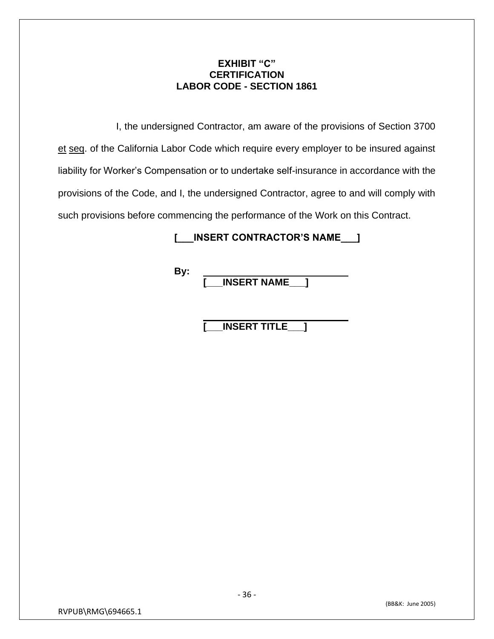#### **EXHIBIT "C" CERTIFICATION LABOR CODE - SECTION 1861**

I, the undersigned Contractor, am aware of the provisions of Section 3700 et seq. of the California Labor Code which require every employer to be insured against liability for Worker's Compensation or to undertake self-insurance in accordance with the provisions of the Code, and I, the undersigned Contractor, agree to and will comply with such provisions before commencing the performance of the Work on this Contract.

#### **[\_\_\_INSERT CONTRACTOR'S NAME\_\_\_]**

**By:**

**[\_\_\_INSERT NAME\_\_\_]**

**[\_\_\_INSERT TITLE\_\_\_]**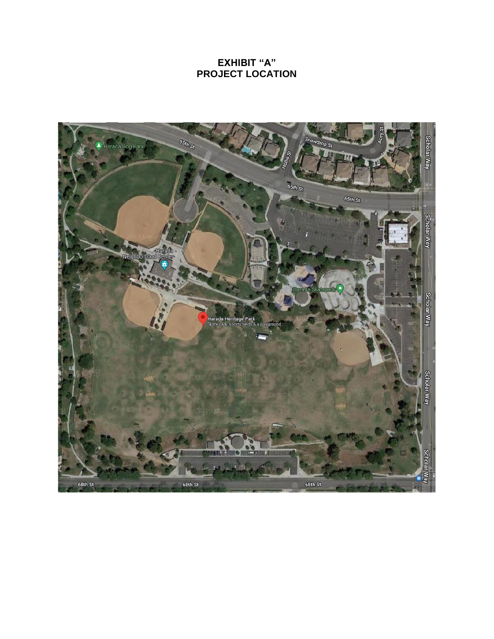#### **EXHIBIT "A" PROJECT LOCATION**